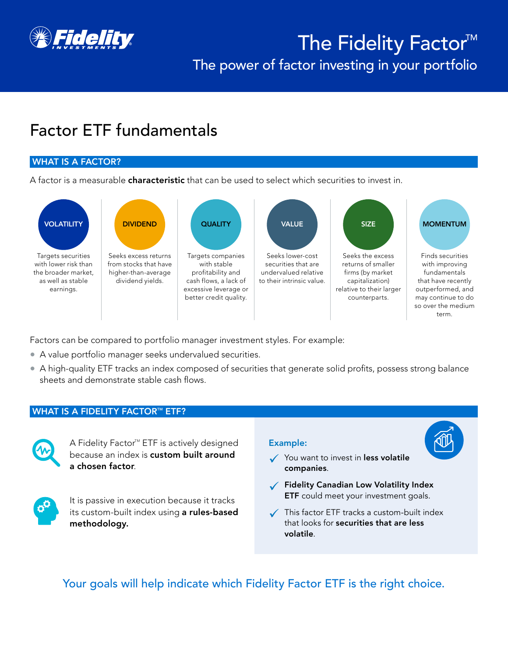

# The Fidelity Factor<sup>M</sup> The power of factor investing in your portfolio

## Factor ETF fundamentals

#### WHAT IS A FACTOR?

A factor is a measurable **characteristic** that can be used to select which securities to invest in.



Factors can be compared to portfolio manager investment styles. For example:

- A value portfolio manager seeks undervalued securities.
- A high-quality ETF tracks an index composed of securities that generate solid profits, possess strong balance sheets and demonstrate stable cash flows.

#### **WHAT IS A FIDELITY FACTOR™ ETF?**



A Fidelity Factor<sup>™</sup> ETF is actively designed because an index is custom built around a chosen factor.



It is passive in execution because it tracks its custom-built index using a rules-based methodology.

#### Example:

- $\checkmark$  You want to invest in less volatile companies.
- $\checkmark$  Fidelity Canadian Low Volatility Index **ETF** could meet your investment goals.
- $\checkmark$  This factor ETF tracks a custom-built index that looks for securities that are less volatile.

Your goals will help indicate which Fidelity Factor ETF is the right choice.